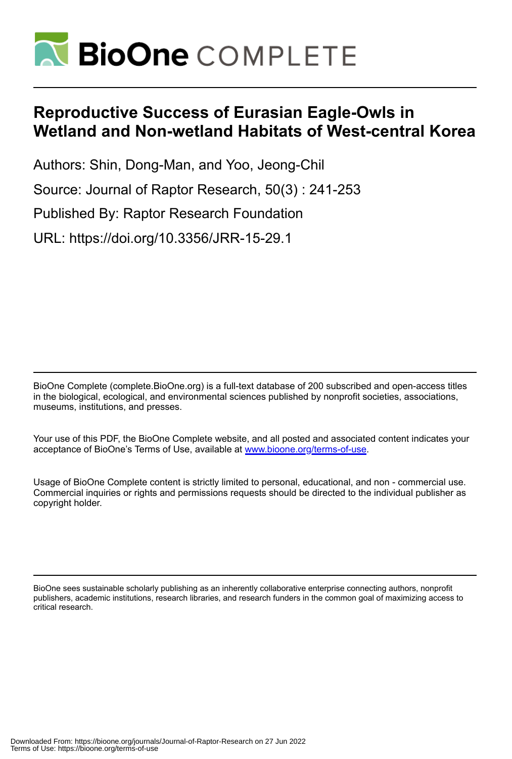

# **Reproductive Success of Eurasian Eagle-Owls in Wetland and Non-wetland Habitats of West-central Korea**

Authors: Shin, Dong-Man, and Yoo, Jeong-Chil Source: Journal of Raptor Research, 50(3) : 241-253 Published By: Raptor Research Foundation URL: https://doi.org/10.3356/JRR-15-29.1

BioOne Complete (complete.BioOne.org) is a full-text database of 200 subscribed and open-access titles in the biological, ecological, and environmental sciences published by nonprofit societies, associations, museums, institutions, and presses.

Your use of this PDF, the BioOne Complete website, and all posted and associated content indicates your acceptance of BioOne's Terms of Use, available at www.bioone.org/terms-of-use.

Usage of BioOne Complete content is strictly limited to personal, educational, and non - commercial use. Commercial inquiries or rights and permissions requests should be directed to the individual publisher as copyright holder.

BioOne sees sustainable scholarly publishing as an inherently collaborative enterprise connecting authors, nonprofit publishers, academic institutions, research libraries, and research funders in the common goal of maximizing access to critical research.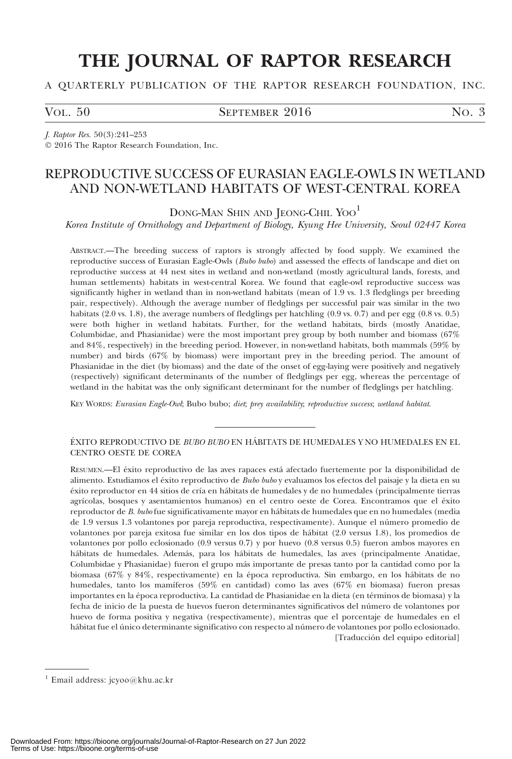# THE JOURNAL OF RAPTOR RESEARCH

## A QUARTERLY PUBLICATION OF THE RAPTOR RESEARCH FOUNDATION, INC.

VOL. 50 SEPTEMBER  $2016$  No. 3

J. Raptor Res. 50(3):241–253 - 2016 The Raptor Research Foundation, Inc.

## REPRODUCTIVE SUCCESS OF EURASIAN EAGLE-OWLS IN WETLAND AND NON-WETLAND HABITATS OF WEST-CENTRAL KOREA

DONG-MAN SHIN AND JEONG-CHIL YOO<sup>1</sup>

Korea Institute of Ornithology and Department of Biology, Kyung Hee University, Seoul 02447 Korea

ABSTRACT.—The breeding success of raptors is strongly affected by food supply. We examined the reproductive success of Eurasian Eagle-Owls (Bubo bubo) and assessed the effects of landscape and diet on reproductive success at 44 nest sites in wetland and non-wetland (mostly agricultural lands, forests, and human settlements) habitats in west-central Korea. We found that eagle-owl reproductive success was significantly higher in wetland than in non-wetland habitats (mean of 1.9 vs. 1.3 fledglings per breeding pair, respectively). Although the average number of fledglings per successful pair was similar in the two habitats (2.0 vs. 1.8), the average numbers of fledglings per hatchling (0.9 vs. 0.7) and per egg (0.8 vs. 0.5) were both higher in wetland habitats. Further, for the wetland habitats, birds (mostly Anatidae, Columbidae, and Phasianidae) were the most important prey group by both number and biomass (67% and 84%, respectively) in the breeding period. However, in non-wetland habitats, both mammals (59% by number) and birds (67% by biomass) were important prey in the breeding period. The amount of Phasianidae in the diet (by biomass) and the date of the onset of egg-laying were positively and negatively (respectively) significant determinants of the number of fledglings per egg, whereas the percentage of wetland in the habitat was the only significant determinant for the number of fledglings per hatchling.

KEY WORDS: Eurasian Eagle-Owl; Bubo bubo; diet; prey availability; reproductive success; wetland habitat.

## ÉXITO REPRODUCTIVO DE *BUBO BUBO* EN HÁBITATS DE HUMEDALES Y NO HUMEDALES EN EL CENTRO OESTE DE COREA

RESUMEN.—El éxito reproductivo de las aves rapaces está afectado fuertemente por la disponibilidad de alimento. Estudiamos el éxito reproductivo de *Bubo bubo* y evaluamos los efectos del paisaje y la dieta en su éxito reproductor en 44 sitios de cría en hábitats de humedales y de no humedales (principalmente tierras agrícolas, bosques y asentamientos humanos) en el centro oeste de Corea. Encontramos que el éxito reproductor de B. bubo fue significativamente mayor en hábitats de humedales que en no humedales (media de 1.9 versus 1.3 volantones por pareja reproductiva, respectivamente). Aunque el número promedio de volantones por pareja exitosa fue similar en los dos tipos de ha´bitat (2.0 versus 1.8), los promedios de volantones por pollo eclosionado (0.9 versus 0.7) y por huevo (0.8 versus 0.5) fueron ambos mayores en hábitats de humedales. Además, para los hábitats de humedales, las aves (principalmente Anatidae, Columbidae y Phasianidae) fueron el grupo más importante de presas tanto por la cantidad como por la biomasa (67% y 84%, respectivamente) en la época reproductiva. Sin embargo, en los hábitats de no humedales, tanto los mamíferos (59% en cantidad) como las aves (67% en biomasa) fueron presas importantes en la época reproductiva. La cantidad de Phasianidae en la dieta (en términos de biomasa) y la fecha de inicio de la puesta de huevos fueron determinantes significativos del número de volantones por huevo de forma positiva y negativa (respectivamente), mientras que el porcentaje de humedales en el hábitat fue el único determinante significativo con respecto al número de volantones por pollo eclosionado. [Traducción del equipo editorial]

 $1$  Email address: jcyoo@khu.ac.kr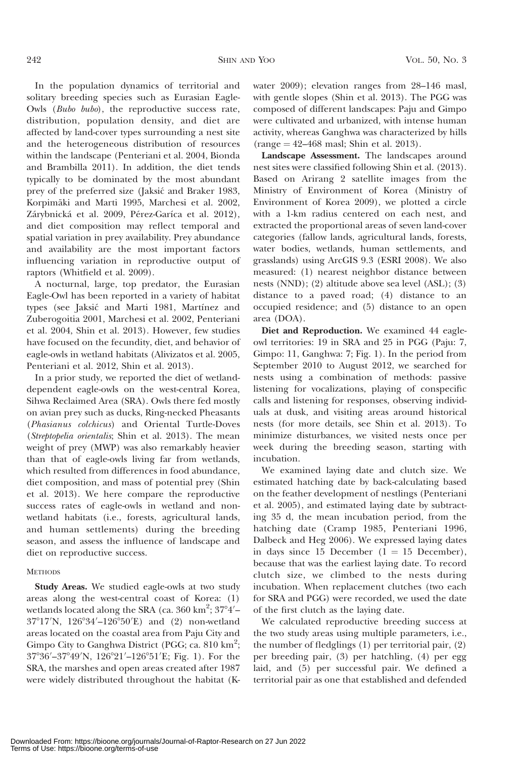In the population dynamics of territorial and solitary breeding species such as Eurasian Eagle-Owls (Bubo bubo), the reproductive success rate, distribution, population density, and diet are affected by land-cover types surrounding a nest site and the heterogeneous distribution of resources within the landscape (Penteriani et al. 2004, Bionda and Brambilla 2011). In addition, the diet tends typically to be dominated by the most abundant prey of the preferred size (Jaksić and Braker 1983, Korpimäki and Marti 1995, Marchesi et al. 2002, Zárybnická et al. 2009, Pérez-Garíca et al. 2012), and diet composition may reflect temporal and spatial variation in prey availability. Prey abundance and availability are the most important factors influencing variation in reproductive output of raptors (Whitfield et al. 2009).

A nocturnal, large, top predator, the Eurasian Eagle-Owl has been reported in a variety of habitat types (see Jaksić and Marti 1981, Martínez and Zuberogoitia 2001, Marchesi et al. 2002, Penteriani et al. 2004, Shin et al. 2013). However, few studies have focused on the fecundity, diet, and behavior of eagle-owls in wetland habitats (Alivizatos et al. 2005, Penteriani et al. 2012, Shin et al. 2013).

In a prior study, we reported the diet of wetlanddependent eagle-owls on the west-central Korea, Sihwa Reclaimed Area (SRA). Owls there fed mostly on avian prey such as ducks, Ring-necked Pheasants (Phasianus colchicus) and Oriental Turtle-Doves (Streptopelia orientalis; Shin et al. 2013). The mean weight of prey (MWP) was also remarkably heavier than that of eagle-owls living far from wetlands, which resulted from differences in food abundance, diet composition, and mass of potential prey (Shin et al. 2013). We here compare the reproductive success rates of eagle-owls in wetland and nonwetland habitats (i.e., forests, agricultural lands, and human settlements) during the breeding season, and assess the influence of landscape and diet on reproductive success.

## **METHODS**

Study Areas. We studied eagle-owls at two study areas along the west-central coast of Korea: (1) wetlands located along the SRA (ca.  $360 \text{ km}^2$ ;  $37^{\circ}4'$ – 37°17′N, 126°34′–126°50′E) and (2) non-wetland areas located on the coastal area from Paju City and Gimpo City to Ganghwa District (PGG; ca. 810 km<sup>2</sup>; 37°36′–37°49′N, 126°21′–126°51′E; Fig. 1). For the SRA, the marshes and open areas created after 1987 were widely distributed throughout the habitat (K- water 2009); elevation ranges from 28–146 masl, with gentle slopes (Shin et al. 2013). The PGG was composed of different landscapes: Paju and Gimpo were cultivated and urbanized, with intense human activity, whereas Ganghwa was characterized by hills  $(range = 42-468$  masl; Shin et al. 2013).

Landscape Assessment. The landscapes around nest sites were classified following Shin et al. (2013). Based on Arirang 2 satellite images from the Ministry of Environment of Korea (Ministry of Environment of Korea 2009), we plotted a circle with a 1-km radius centered on each nest, and extracted the proportional areas of seven land-cover categories (fallow lands, agricultural lands, forests, water bodies, wetlands, human settlements, and grasslands) using ArcGIS 9.3 (ESRI 2008). We also measured: (1) nearest neighbor distance between nests (NND); (2) altitude above sea level (ASL); (3) distance to a paved road; (4) distance to an occupied residence; and (5) distance to an open area (DOA).

Diet and Reproduction. We examined 44 eagleowl territories: 19 in SRA and 25 in PGG (Paju: 7, Gimpo: 11, Ganghwa: 7; Fig. 1). In the period from September 2010 to August 2012, we searched for nests using a combination of methods: passive listening for vocalizations, playing of conspecific calls and listening for responses, observing individuals at dusk, and visiting areas around historical nests (for more details, see Shin et al. 2013). To minimize disturbances, we visited nests once per week during the breeding season, starting with incubation.

We examined laying date and clutch size. We estimated hatching date by back-calculating based on the feather development of nestlings (Penteriani et al. 2005), and estimated laying date by subtracting 35 d, the mean incubation period, from the hatching date (Cramp 1985, Penteriani 1996, Dalbeck and Heg 2006). We expressed laying dates in days since 15 December (1 = 15 December), because that was the earliest laying date. To record clutch size, we climbed to the nests during incubation. When replacement clutches (two each for SRA and PGG) were recorded, we used the date of the first clutch as the laying date.

We calculated reproductive breeding success at the two study areas using multiple parameters, i.e., the number of fledglings (1) per territorial pair, (2) per breeding pair, (3) per hatchling, (4) per egg laid, and (5) per successful pair. We defined a territorial pair as one that established and defended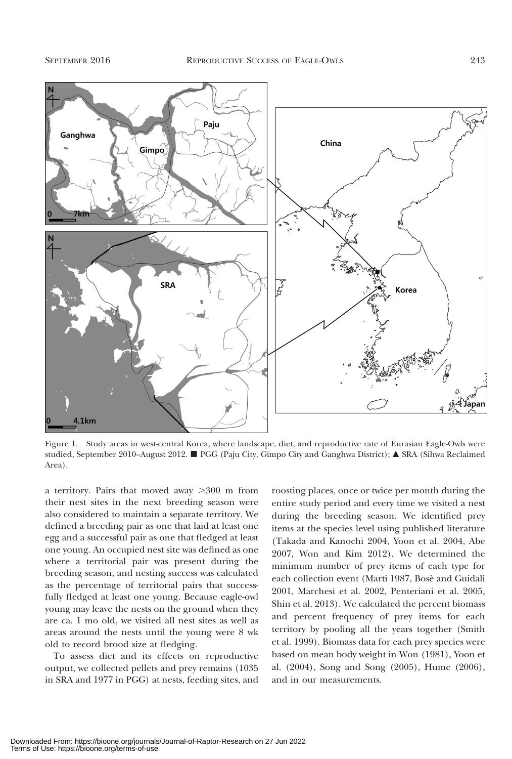

Figure 1. Study areas in west-central Korea, where landscape, diet, and reproductive rate of Eurasian Eagle-Owls were studied, September 2010–August 2012.  $\blacksquare$  PGG (Paju City, Gimpo City and Ganghwa District);  $\blacktriangle$  SRA (Sihwa Reclaimed Area).

a territory. Pairs that moved away  $>300$  m from their nest sites in the next breeding season were also considered to maintain a separate territory. We defined a breeding pair as one that laid at least one egg and a successful pair as one that fledged at least one young. An occupied nest site was defined as one where a territorial pair was present during the breeding season, and nesting success was calculated as the percentage of territorial pairs that successfully fledged at least one young. Because eagle-owl young may leave the nests on the ground when they are ca. 1 mo old, we visited all nest sites as well as areas around the nests until the young were 8 wk old to record brood size at fledging.

To assess diet and its effects on reproductive output, we collected pellets and prey remains (1035 in SRA and 1977 in PGG) at nests, feeding sites, and

roosting places, once or twice per month during the entire study period and every time we visited a nest during the breeding season. We identified prey items at the species level using published literature (Takada and Kanochi 2004, Yoon et al. 2004, Abe 2007, Won and Kim 2012). We determined the minimum number of prey items of each type for each collection event (Marti 1987, Bosè and Guidali 2001, Marchesi et al. 2002, Penteriani et al. 2005, Shin et al. 2013). We calculated the percent biomass and percent frequency of prey items for each territory by pooling all the years together (Smith et al. 1999). Biomass data for each prey species were based on mean body weight in Won (1981), Yoon et al. (2004), Song and Song (2005), Hume (2006), and in our measurements.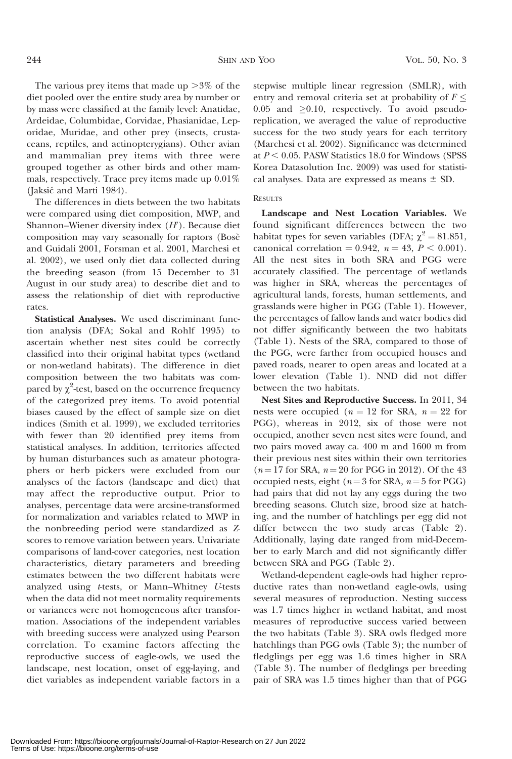The various prey items that made up  $>3\%$  of the diet pooled over the entire study area by number or by mass were classified at the family level: Anatidae, Ardeidae, Columbidae, Corvidae, Phasianidae, Leporidae, Muridae, and other prey (insects, crustaceans, reptiles, and actinopterygians). Other avian and mammalian prey items with three were grouped together as other birds and other mammals, respectively. Trace prey items made up 0.01% (Jaksić and Marti 1984).

The differences in diets between the two habitats were compared using diet composition, MWP, and Shannon–Wiener diversity index  $(H^{\prime})$ . Because diet composition may vary seasonally for raptors (Bosè and Guidali 2001, Forsman et al. 2001, Marchesi et al. 2002), we used only diet data collected during the breeding season (from 15 December to 31 August in our study area) to describe diet and to assess the relationship of diet with reproductive rates.

Statistical Analyses. We used discriminant function analysis (DFA; Sokal and Rohlf 1995) to ascertain whether nest sites could be correctly classified into their original habitat types (wetland or non-wetland habitats). The difference in diet composition between the two habitats was compared by  $\chi^2$ -test, based on the occurrence frequency of the categorized prey items. To avoid potential biases caused by the effect of sample size on diet indices (Smith et al. 1999), we excluded territories with fewer than 20 identified prey items from statistical analyses. In addition, territories affected by human disturbances such as amateur photographers or herb pickers were excluded from our analyses of the factors (landscape and diet) that may affect the reproductive output. Prior to analyses, percentage data were arcsine-transformed for normalization and variables related to MWP in the nonbreeding period were standardized as Zscores to remove variation between years. Univariate comparisons of land-cover categories, nest location characteristics, dietary parameters and breeding estimates between the two different habitats were analyzed using t-tests, or Mann–Whitney U-tests when the data did not meet normality requirements or variances were not homogeneous after transformation. Associations of the independent variables with breeding success were analyzed using Pearson correlation. To examine factors affecting the reproductive success of eagle-owls, we used the landscape, nest location, onset of egg-laying, and diet variables as independent variable factors in a stepwise multiple linear regression (SMLR), with entry and removal criteria set at probability of  $F \leq$ 0.05 and  $\geq$ 0.10, respectively. To avoid pseudoreplication, we averaged the value of reproductive success for the two study years for each territory (Marchesi et al. 2002). Significance was determined at  $P < 0.05$ . PASW Statistics 18.0 for Windows (SPSS) Korea Datasolution Inc. 2009) was used for statistical analyses. Data are expressed as means  $\pm$  SD.

## RESULTS

Landscape and Nest Location Variables. We found significant differences between the two habitat types for seven variables (DFA;  $\chi^2 = 81.851$ , canonical correlation = 0.942,  $n = 43$ ,  $P < 0.001$ ). All the nest sites in both SRA and PGG were accurately classified. The percentage of wetlands was higher in SRA, whereas the percentages of agricultural lands, forests, human settlements, and grasslands were higher in PGG (Table 1). However, the percentages of fallow lands and water bodies did not differ significantly between the two habitats (Table 1). Nests of the SRA, compared to those of the PGG, were farther from occupied houses and paved roads, nearer to open areas and located at a lower elevation (Table 1). NND did not differ between the two habitats.

Nest Sites and Reproductive Success. In 2011, 34 nests were occupied ( $n = 12$  for SRA,  $n = 22$  for PGG), whereas in 2012, six of those were not occupied, another seven nest sites were found, and two pairs moved away ca. 400 m and 1600 m from their previous nest sites within their own territories  $(n = 17$  for SRA,  $n = 20$  for PGG in 2012). Of the 43 occupied nests, eight ( $n=3$  for SRA,  $n=5$  for PGG) had pairs that did not lay any eggs during the two breeding seasons. Clutch size, brood size at hatching, and the number of hatchlings per egg did not differ between the two study areas (Table 2). Additionally, laying date ranged from mid-December to early March and did not significantly differ between SRA and PGG (Table 2).

Wetland-dependent eagle-owls had higher reproductive rates than non-wetland eagle-owls, using several measures of reproduction. Nesting success was 1.7 times higher in wetland habitat, and most measures of reproductive success varied between the two habitats (Table 3). SRA owls fledged more hatchlings than PGG owls (Table 3); the number of fledglings per egg was 1.6 times higher in SRA (Table 3). The number of fledglings per breeding pair of SRA was 1.5 times higher than that of PGG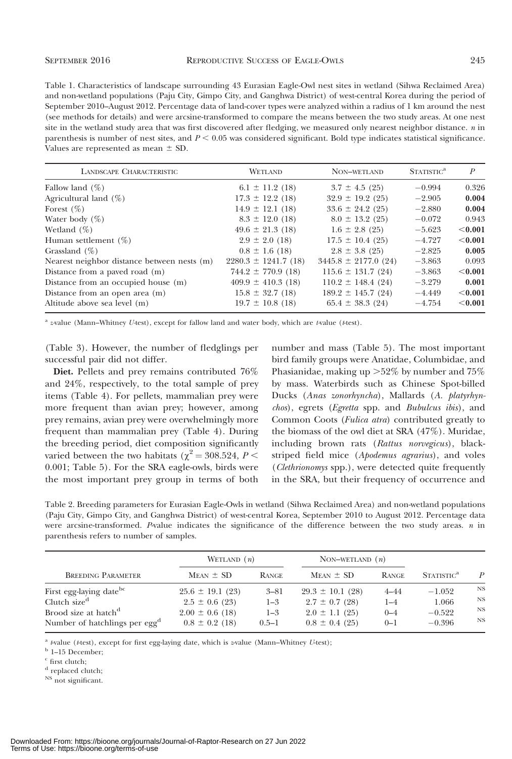Table 1. Characteristics of landscape surrounding 43 Eurasian Eagle-Owl nest sites in wetland (Sihwa Reclaimed Area) and non-wetland populations (Paju City, Gimpo City, and Ganghwa District) of west-central Korea during the period of September 2010–August 2012. Percentage data of land-cover types were analyzed within a radius of 1 km around the nest (see methods for details) and were arcsine-transformed to compare the means between the two study areas. At one nest site in the wetland study area that was first discovered after fledging, we measured only nearest neighbor distance. n in parenthesis is number of nest sites, and  $P \leq 0.05$  was considered significant. Bold type indicates statistical significance. Values are represented as mean  $\pm$  SD.

| LANDSCAPE CHARACTERISTIC                    | <b>WETLAND</b>           | NON-WETLAND              | STATISTIC <sup>a</sup> | P         |
|---------------------------------------------|--------------------------|--------------------------|------------------------|-----------|
| Fallow land $(\%)$                          | $6.1 \pm 11.2$ (18)      | $3.7 \pm 4.5$ (25)       | $-0.994$               | 0.326     |
| Agricultural land $(\%)$                    | $17.3 \pm 12.2$ (18)     | $32.9 \pm 19.2$ (25)     | $-2.905$               | 0.004     |
| Forest $(\%)$                               | $14.9 \pm 12.1$ (18)     | $33.6 \pm 24.2$ (25)     | $-2.880$               | 0.004     |
| Water body $(\%)$                           | $8.3 \pm 12.0$ (18)      | $8.0 \pm 13.2$ (25)      | $-0.072$               | 0.943     |
| Wetland $(\%)$                              | $49.6 \pm 21.3$ (18)     | $1.6 \pm 2.8$ (25)       | $-5.623$               | $<$ 0.001 |
| Human settlement $(\%)$                     | $2.9 \pm 2.0$ (18)       | $17.5 \pm 10.4$ (25)     | $-4.727$               | < 0.001   |
| Grassland $(\%)$                            | $0.8 \pm 1.6$ (18)       | $2.8 \pm 3.8$ (25)       | $-2.825$               | 0.005     |
| Nearest neighbor distance between nests (m) | $2280.3 \pm 1241.7$ (18) | $3445.8 \pm 2177.0$ (24) | $-3.863$               | 0.093     |
| Distance from a paved road (m)              | $744.2 \pm 770.9$ (18)   | $115.6 \pm 131.7$ (24)   | $-3.863$               | < 0.001   |
| Distance from an occupied house (m)         | $409.9 \pm 410.3$ (18)   | $110.2 \pm 148.4$ (24)   | $-3.279$               | 0.001     |
| Distance from an open area (m)              | $15.8 \pm 32.7$ (18)     | $189.2 \pm 145.7$ (24)   | $-4.449$               | < 0.001   |
| Altitude above sea level (m)                | $19.7 \pm 10.8$ (18)     | $65.4 \pm 38.3$ (24)     | $-4.754$               | < 0.001   |

<sup>a</sup> z-value (Mann–Whitney U-test), except for fallow land and water body, which are t-value (t-test).

(Table 3). However, the number of fledglings per successful pair did not differ.

Diet. Pellets and prey remains contributed 76% and 24%, respectively, to the total sample of prey items (Table 4). For pellets, mammalian prey were more frequent than avian prey; however, among prey remains, avian prey were overwhelmingly more frequent than mammalian prey (Table 4). During the breeding period, diet composition significantly varied between the two habitats ( $\chi^2 = 308.524$ ,  $P <$ 0.001; Table 5). For the SRA eagle-owls, birds were the most important prey group in terms of both number and mass (Table 5). The most important bird family groups were Anatidae, Columbidae, and Phasianidae, making up  $>52\%$  by number and 75% by mass. Waterbirds such as Chinese Spot-billed Ducks (Anas zonorhyncha), Mallards (A. platyrhynchos), egrets (Egretta spp. and Bubulcus ibis), and Common Coots (Fulica atra) contributed greatly to the biomass of the owl diet at SRA (47%). Muridae, including brown rats (Rattus norvegicus), blackstriped field mice (Apodemus agrarius), and voles (Clethrionomys spp.), were detected quite frequently in the SRA, but their frequency of occurrence and

Table 2. Breeding parameters for Eurasian Eagle-Owls in wetland (Sihwa Reclaimed Area) and non-wetland populations (Paju City, Gimpo City, and Ganghwa District) of west-central Korea, September 2010 to August 2012. Percentage data were arcsine-transformed. P-value indicates the significance of the difference between the two study areas.  $n$  in parenthesis refers to number of samples.

|                                           | WETLAND $(n)$        |              | NON-WETLAND $(n)$    |              |                        |                  |
|-------------------------------------------|----------------------|--------------|----------------------|--------------|------------------------|------------------|
| <b>BREEDING PARAMETER</b>                 | $Mean \pm SD$        | <b>RANGE</b> | $MEAN \pm SD$        | <b>RANGE</b> | STATISTIC <sup>a</sup> | $\boldsymbol{P}$ |
| First egg-laying date <sup>bc</sup>       | $25.6 \pm 19.1$ (23) | $3 - 81$     | $29.3 \pm 10.1$ (28) | $4 - 44$     | $-1.052$               | <b>NS</b>        |
| Clutch size <sup>d</sup>                  | $2.5 \pm 0.6$ (23)   | $1 - 3$      | $2.7 \pm 0.7$ (28)   | $1 - 4$      | 1.066                  | <b>NS</b>        |
| Brood size at hatch <sup>d</sup>          | $2.00 \pm 0.6$ (18)  | $1 - 3$      | $2.0 \pm 1.1$ (25)   | $0 - 4$      | $-0.522$               | <b>NS</b>        |
| Number of hatchlings per egg <sup>a</sup> | $0.8 \pm 0.2$ (18)   | $0.5 - 1$    | $0.8 \pm 0.4$ (25)   | $0 - 1$      | $-0.396$               | <b>NS</b>        |

<sup>a</sup> t-value (t-test), except for first egg-laying date, which is z-value (Mann–Whitney U-test);

 $^{\rm b}$  1–15 December;

 $\text{c}$  first clutch;

NS not significant.

<sup>&</sup>lt;sup>d</sup> replaced clutch;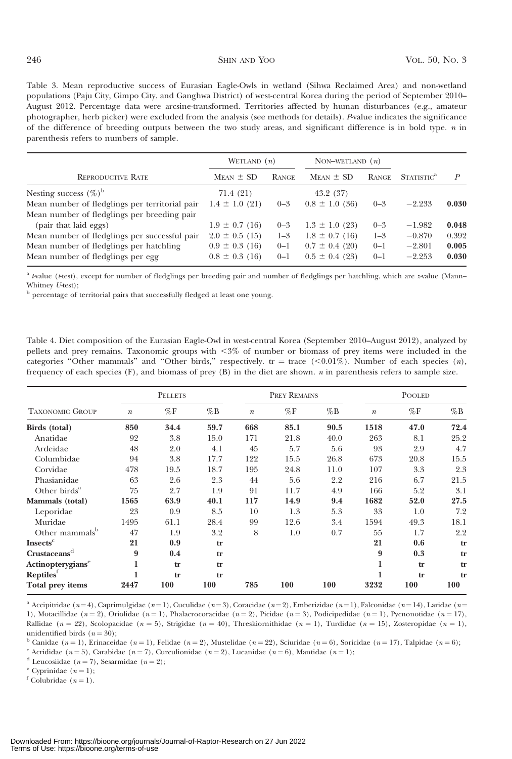Table 3. Mean reproductive success of Eurasian Eagle-Owls in wetland (Sihwa Reclaimed Area) and non-wetland populations (Paju City, Gimpo City, and Ganghwa District) of west-central Korea during the period of September 2010– August 2012. Percentage data were arcsine-transformed. Territories affected by human disturbances (e.g., amateur photographer, herb picker) were excluded from the analysis (see methods for details). P-value indicates the significance of the difference of breeding outputs between the two study areas, and significant difference is in bold type. n in parenthesis refers to numbers of sample.

|                                                | WETLAND $(n)$      |              | NON-WETLAND $(n)$  |         |                        |       |
|------------------------------------------------|--------------------|--------------|--------------------|---------|------------------------|-------|
| <b>REPRODUCTIVE RATE</b>                       | $Mean \pm SD$      | <b>RANGE</b> | $MEAN \pm SD$      | RANGE   | STATISTIC <sup>a</sup> | P     |
| Nesting success $(\%)^b$                       | 71.4 (21)          |              | 43.2(37)           |         |                        |       |
| Mean number of fledglings per territorial pair | $1.4 \pm 1.0$ (21) | $0 - 3$      | $0.8 \pm 1.0$ (36) | $0 - 3$ | $-2.233$               | 0.030 |
| Mean number of fledglings per breeding pair    |                    |              |                    |         |                        |       |
| (pair that laid eggs)                          | $1.9 \pm 0.7$ (16) | $0 - 3$      | $1.3 \pm 1.0$ (23) | $0 - 3$ | $-1.982$               | 0.048 |
| Mean number of fledglings per successful pair  | $2.0 \pm 0.5$ (15) | $1 - 3$      | $1.8 \pm 0.7$ (16) | $1 - 3$ | $-0.870$               | 0.392 |
| Mean number of fledglings per hatchling        | $0.9 \pm 0.3$ (16) | $0 - 1$      | $0.7 \pm 0.4$ (20) | $0 - 1$ | $-2.801$               | 0.005 |
| Mean number of fledglings per egg              | $0.8 \pm 0.3$ (16) | $0 - 1$      | $0.5 \pm 0.4$ (23) | $0 - 1$ | $-2.253$               | 0.030 |

<sup>a</sup> t-value (t-test), except for number of fledglings per breeding pair and number of fledglings per hatchling, which are z-value (Mann– Whitney *U*-test);

<sup>b</sup> percentage of territorial pairs that successfully fledged at least one young.

Table 4. Diet composition of the Eurasian Eagle-Owl in west-central Korea (September 2010–August 2012), analyzed by pellets and prey remains. Taxonomic groups with <3% of number or biomass of prey items were included in the categories "Other mammals" and "Other birds," respectively. tr = trace  $(<0.01\%)$ . Number of each species  $(n)$ , frequency of each species (F), and biomass of prey (B) in the diet are shown. n in parenthesis refers to sample size.

| <b>TAXONOMIC GROUP</b>        |                  | <b>PELLETS</b> |        |                  | PREY REMAINS |        |                  | <b>POOLED</b>  |        |  |
|-------------------------------|------------------|----------------|--------|------------------|--------------|--------|------------------|----------------|--------|--|
|                               | $\boldsymbol{n}$ | $\%\mathrm{F}$ | $\%$ B | $\boldsymbol{n}$ | %F           | $\%$ B | $\boldsymbol{n}$ | $\%\mathrm{F}$ | $\%$ B |  |
| Birds (total)                 | 850              | 34.4           | 59.7   | 668              | 85.1         | 90.5   | 1518             | 47.0           | 72.4   |  |
| Anatidae                      | 92               | 3.8            | 15.0   | 171              | 21.8         | 40.0   | 263              | 8.1            | 25.2   |  |
| Ardeidae                      | 48               | 2.0            | 4.1    | 45               | 5.7          | 5.6    | 93               | 2.9            | 4.7    |  |
| Columbidae                    | 94               | 3.8            | 17.7   | 122              | 15.5         | 26.8   | 673              | 20.8           | 15.5   |  |
| Corvidae                      | 478              | 19.5           | 18.7   | 195              | 24.8         | 11.0   | 107              | 3.3            | 2.3    |  |
| Phasianidae                   | 63               | 2.6            | 2.3    | 44               | 5.6          | 2.2    | 216              | 6.7            | 21.5   |  |
| Other birds $a^a$             | 75               | 2.7            | 1.9    | 91               | 11.7         | 4.9    | 166              | 5.2            | 3.1    |  |
| Mammals (total)               | 1565             | 63.9           | 40.1   | 117              | 14.9         | 9.4    | 1682             | 52.0           | 27.5   |  |
| Leporidae                     | 23               | 0.9            | 8.5    | 10               | 1.3          | 5.3    | 33               | 1.0            | 7.2    |  |
| Muridae                       | 1495             | 61.1           | 28.4   | 99               | 12.6         | 3.4    | 1594             | 49.3           | 18.1   |  |
| Other mammals <sup>b</sup>    | 47               | 1.9            | 3.2    | 8                | 1.0          | 0.7    | 55               | 1.7            | 2.2    |  |
| Insects <sup>c</sup>          | 21               | 0.9            | tr     |                  |              |        | 21               | 0.6            | tr     |  |
| Crustaceans <sup>d</sup>      | 9                | 0.4            | tr     |                  |              |        | 9                | 0.3            | tr     |  |
| Actinopterygians <sup>e</sup> | 1                | tr             | tr     |                  |              |        | 1                | tr             | tr     |  |
| Reptiles <sup>f</sup>         |                  | tr             | tr     |                  |              |        |                  | tr             | tr     |  |
| Total prey items              | 2447             | 100            | 100    | 785              | 100          | 100    | 3232             | 100            | 100    |  |

<sup>a</sup> Accipitridae (n=4), Caprimulgidae (n=1), Cuculidae (n=3), Coracidae (n=2), Emberizidae (n=1), Falconidae (n=14), Laridae (n= 1), Motacillidae (n = 2), Oriolidae (n = 1), Phalacrocoracidae (n = 2), Picidae (n = 3), Podicipedidae (n = 1), Pycnonotidae (n = 17), Rallidae (n = 22), Scolopacidae (n = 5), Strigidae (n = 40), Threskiornithidae (n = 1), Turdidae (n = 15), Zosteropidae (n = 1), unidentified birds  $(n = 30)$ :

<sup>b</sup> Canidae (n=1), Erinaceidae (n=1), Felidae (n=2), Mustelidae (n=22), Sciuridae (n=6), Soricidae (n=17), Talpidae (n=6);

<sup>c</sup> Acrididae (n = 5), Carabidae (n = 7), Curculionidae (n = 2), Lucanidae (n = 6), Mantidae (n = 1);

 $^{\rm d}$  Leucosiidae ( $n=7$ ), Sesarmidae ( $n=2$ );

<sup>e</sup> Cyprinidae  $(n = 1)$ ;

 $f$  Colubridae  $(n = 1)$ .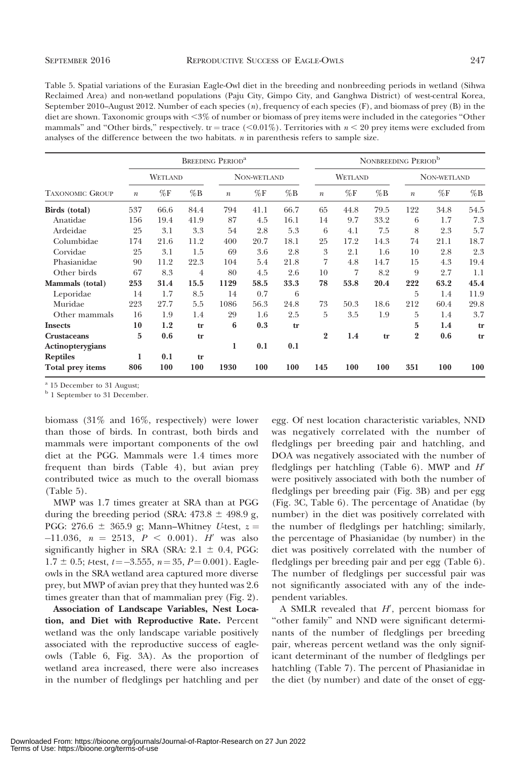Table 5. Spatial variations of the Eurasian Eagle-Owl diet in the breeding and nonbreeding periods in wetland (Sihwa Reclaimed Area) and non-wetland populations (Paju City, Gimpo City, and Ganghwa District) of west-central Korea, September 2010–August 2012. Number of each species (n), frequency of each species (F), and biomass of prey (B) in the diet are shown. Taxonomic groups with <3% of number or biomass of prey items were included in the categories "Other mammals" and "Other birds," respectively. tr = trace (<0.01%). Territories with  $n < 20$  prey items were excluded from analyses of the difference between the two habitats.  $n$  in parenthesis refers to sample size.

|                        |                  |                |        | <b>BREEDING PERIOD<sup>a</sup></b> |                |        |                  |         | NONBREEDING PERIOD <sup>b</sup> |                  |                |        |
|------------------------|------------------|----------------|--------|------------------------------------|----------------|--------|------------------|---------|---------------------------------|------------------|----------------|--------|
|                        |                  | WETLAND        |        |                                    | NON-WETLAND    |        |                  | WETLAND |                                 |                  | NON-WETLAND    |        |
| <b>TAXONOMIC GROUP</b> | $\boldsymbol{n}$ | $\%\mathrm{F}$ | $\%$ B | $\boldsymbol{n}$                   | $\%\mathrm{F}$ | $\%$ B | $\boldsymbol{n}$ | %F      | $\%$ B                          | $\boldsymbol{n}$ | $\%\mathrm{F}$ | $\%$ B |
| Birds (total)          | 537              | 66.6           | 84.4   | 794                                | 41.1           | 66.7   | 65               | 44.8    | 79.5                            | 122              | 34.8           | 54.5   |
| Anatidae               | 156              | 19.4           | 41.9   | 87                                 | 4.5            | 16.1   | 14               | 9.7     | 33.2                            | 6                | 1.7            | 7.3    |
| Ardeidae               | 25               | 3.1            | 3.3    | 54                                 | 2.8            | 5.3    | 6                | 4.1     | 7.5                             | 8                | 2.3            | 5.7    |
| Columbidae             | 174              | 21.6           | 11.2   | 400                                | 20.7           | 18.1   | 25               | 17.2    | 14.3                            | 74               | 21.1           | 18.7   |
| Corvidae               | 25               | 3.1            | 1.5    | 69                                 | 3.6            | 2.8    | 3                | 2.1     | 1.6                             | 10               | 2.8            | 2.3    |
| Phasianidae            | 90               | 11.2           | 22.3   | 104                                | 5.4            | 21.8   | 7                | 4.8     | 14.7                            | 15               | 4.3            | 19.4   |
| Other birds            | 67               | 8.3            | 4      | 80                                 | 4.5            | 2.6    | 10               | 7       | 8.2                             | 9                | 2.7            | 1.1    |
| Mammals (total)        | 253              | 31.4           | 15.5   | 1129                               | 58.5           | 33.3   | 78               | 53.8    | 20.4                            | 222              | 63.2           | 45.4   |
| Leporidae              | 14               | 1.7            | 8.5    | 14                                 | 0.7            | 6      |                  |         |                                 | 5                | 1.4            | 11.9   |
| Muridae                | 223              | 27.7           | 5.5    | 1086                               | 56.3           | 24.8   | 73               | 50.3    | 18.6                            | 212              | 60.4           | 29.8   |
| Other mammals          | 16               | 1.9            | 1.4    | 29                                 | 1.6            | 2.5    | 5                | 3.5     | 1.9                             | 5                | 1.4            | 3.7    |
| <b>Insects</b>         | 10               | 1.2            | tr     | 6                                  | 0.3            | tr     |                  |         |                                 | 5                | 1.4            | tr     |
| <b>Crustaceans</b>     | 5                | 0.6            | tr     |                                    |                |        | $\overline{2}$   | 1.4     | tr                              | $\overline{2}$   | 0.6            | tr     |
| Actinopterygians       |                  |                |        | 1                                  | 0.1            | 0.1    |                  |         |                                 |                  |                |        |
| <b>Reptiles</b>        | 1                | 0.1            | tr     |                                    |                |        |                  |         |                                 |                  |                |        |
| Total prey items       | 806              | 100            | 100    | 1930                               | 100            | 100    | 145              | 100     | 100                             | 351              | 100            | 100    |

<sup>a</sup> 15 December to 31 August;

<sup>b</sup> 1 September to 31 December.

biomass (31% and 16%, respectively) were lower than those of birds. In contrast, both birds and mammals were important components of the owl diet at the PGG. Mammals were 1.4 times more frequent than birds (Table 4), but avian prey contributed twice as much to the overall biomass (Table 5).

MWP was 1.7 times greater at SRA than at PGG during the breeding period (SRA:  $473.8 \pm 498.9$  g, PGG: 276.6  $\pm$  365.9 g; Mann–Whitney U-test,  $z =$  $-11.036$ ,  $n = 2513$ ,  $P < 0.001$ ). H' was also significantly higher in SRA (SRA:  $2.1 \pm 0.4$ , PGG:  $1.7 \pm 0.5$ ; t-test,  $t = -3.555$ ,  $n = 35$ ,  $P = 0.001$ ). Eagleowls in the SRA wetland area captured more diverse prey, but MWP of avian prey that they hunted was 2.6 times greater than that of mammalian prey (Fig. 2).

Association of Landscape Variables, Nest Location, and Diet with Reproductive Rate. Percent wetland was the only landscape variable positively associated with the reproductive success of eagleowls (Table 6, Fig. 3A). As the proportion of wetland area increased, there were also increases in the number of fledglings per hatchling and per egg. Of nest location characteristic variables, NND was negatively correlated with the number of fledglings per breeding pair and hatchling, and DOA was negatively associated with the number of fledglings per hatchling (Table 6). MWP and  $H'$ were positively associated with both the number of fledglings per breeding pair (Fig. 3B) and per egg (Fig. 3C, Table 6). The percentage of Anatidae (by number) in the diet was positively correlated with the number of fledglings per hatchling; similarly, the percentage of Phasianidae (by number) in the diet was positively correlated with the number of fledglings per breeding pair and per egg (Table 6). The number of fledglings per successful pair was not significantly associated with any of the independent variables.

A SMLR revealed that  $H'$ , percent biomass for ''other family'' and NND were significant determinants of the number of fledglings per breeding pair, whereas percent wetland was the only significant determinant of the number of fledglings per hatchling (Table 7). The percent of Phasianidae in the diet (by number) and date of the onset of egg-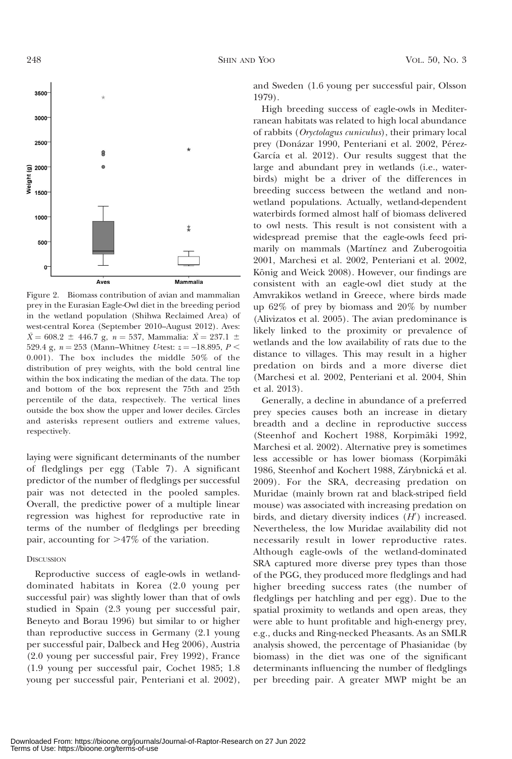

Figure 2. Biomass contribution of avian and mammalian prey in the Eurasian Eagle-Owl diet in the breeding period in the wetland population (Shihwa Reclaimed Area) of west-central Korea (September 2010–August 2012). Aves:  $\bar{X} = 608.2 \pm 446.7$  g,  $n = 537$ , Mammalia:  $\bar{X} = 237.1 \pm 16.7$ 529.4 g,  $n = 253$  (Mann–Whitney U-test:  $z = -18.895$ ,  $P <$ 0.001). The box includes the middle 50% of the distribution of prey weights, with the bold central line within the box indicating the median of the data. The top and bottom of the box represent the 75th and 25th percentile of the data, respectively. The vertical lines outside the box show the upper and lower deciles. Circles and asterisks represent outliers and extreme values, respectively.

laying were significant determinants of the number of fledglings per egg (Table 7). A significant predictor of the number of fledglings per successful pair was not detected in the pooled samples. Overall, the predictive power of a multiple linear regression was highest for reproductive rate in terms of the number of fledglings per breeding pair, accounting for  $>47\%$  of the variation.

## **DISCUSSION**

Reproductive success of eagle-owls in wetlanddominated habitats in Korea (2.0 young per successful pair) was slightly lower than that of owls studied in Spain (2.3 young per successful pair, Beneyto and Borau 1996) but similar to or higher than reproductive success in Germany (2.1 young per successful pair, Dalbeck and Heg 2006), Austria (2.0 young per successful pair, Frey 1992), France (1.9 young per successful pair, Cochet 1985; 1.8 young per successful pair, Penteriani et al. 2002), and Sweden (1.6 young per successful pair, Olsson 1979).

High breeding success of eagle-owls in Mediterranean habitats was related to high local abundance of rabbits (Oryctolagus cuniculus), their primary local prey (Donázar 1990, Penteriani et al. 2002, Pérez-García et al. 2012). Our results suggest that the large and abundant prey in wetlands (i.e., waterbirds) might be a driver of the differences in breeding success between the wetland and nonwetland populations. Actually, wetland-dependent waterbirds formed almost half of biomass delivered to owl nests. This result is not consistent with a widespread premise that the eagle-owls feed primarily on mammals (Martínez and Zuberogoitia 2001, Marchesi et al. 2002, Penteriani et al. 2002, König and Weick 2008). However, our findings are consistent with an eagle-owl diet study at the Amvrakikos wetland in Greece, where birds made up 62% of prey by biomass and 20% by number (Alivizatos et al. 2005). The avian predominance is likely linked to the proximity or prevalence of wetlands and the low availability of rats due to the distance to villages. This may result in a higher predation on birds and a more diverse diet (Marchesi et al. 2002, Penteriani et al. 2004, Shin et al. 2013).

Generally, a decline in abundance of a preferred prey species causes both an increase in dietary breadth and a decline in reproductive success (Steenhof and Kochert 1988, Korpimäki 1992, Marchesi et al. 2002). Alternative prey is sometimes less accessible or has lower biomass (Korpimäki 1986, Steenhof and Kochert 1988, Zárybnická et al. 2009). For the SRA, decreasing predation on Muridae (mainly brown rat and black-striped field mouse) was associated with increasing predation on birds, and dietary diversity indices  $(H')$  increased. Nevertheless, the low Muridae availability did not necessarily result in lower reproductive rates. Although eagle-owls of the wetland-dominated SRA captured more diverse prey types than those of the PGG, they produced more fledglings and had higher breeding success rates (the number of fledglings per hatchling and per egg). Due to the spatial proximity to wetlands and open areas, they were able to hunt profitable and high-energy prey, e.g., ducks and Ring-necked Pheasants. As an SMLR analysis showed, the percentage of Phasianidae (by biomass) in the diet was one of the significant determinants influencing the number of fledglings per breeding pair. A greater MWP might be an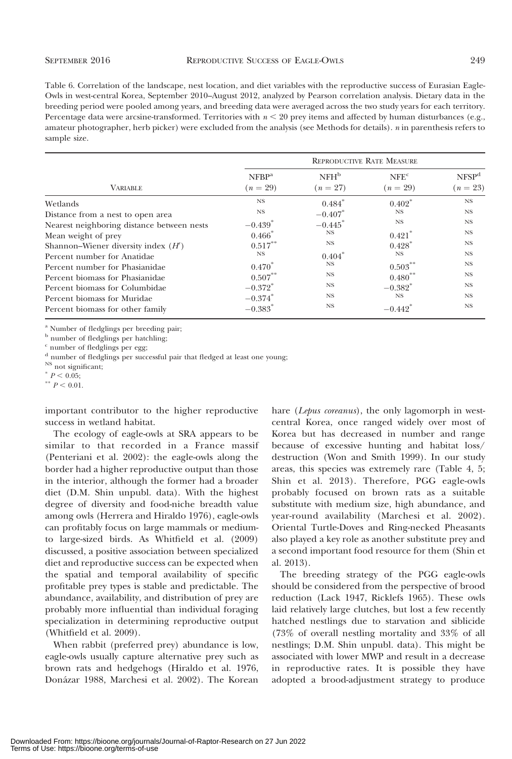Table 6. Correlation of the landscape, nest location, and diet variables with the reproductive success of Eurasian Eagle-Owls in west-central Korea, September 2010–August 2012, analyzed by Pearson correlation analysis. Dietary data in the breeding period were pooled among years, and breeding data were averaged across the two study years for each territory. Percentage data were arcsine-transformed. Territories with  $n < 20$  prey items and affected by human disturbances (e.g., amateur photographer, herb picker) were excluded from the analysis (see Methods for details). n in parenthesis refers to sample size.

|                                            | <b>REPRODUCTIVE RATE MEASURE</b> |                                |                                |                                 |  |  |  |  |
|--------------------------------------------|----------------------------------|--------------------------------|--------------------------------|---------------------------------|--|--|--|--|
| <b>VARIABLE</b>                            | NFBP <sup>a</sup><br>$(n = 29)$  | NFH <sup>b</sup><br>$(n = 27)$ | NFE <sup>c</sup><br>$(n = 29)$ | NFSP <sup>d</sup><br>$(n = 23)$ |  |  |  |  |
| Wetlands                                   | NS.                              | $0.484*$                       | $0.402*$                       | NS                              |  |  |  |  |
| Distance from a nest to open area          | <b>NS</b>                        | $-0.407$ *                     | <b>NS</b>                      | NS.                             |  |  |  |  |
| Nearest neighboring distance between nests | $-0.439$ <sup>*</sup>            | $-0.445$ *                     | <b>NS</b>                      | <b>NS</b>                       |  |  |  |  |
| Mean weight of prey                        | $0.466*$                         | NS.                            | $0.421$ <sup>*</sup>           | $_{\rm NS}$                     |  |  |  |  |
| Shannon-Wiener diversity index $(H')$      | $0.517***$                       | <b>NS</b>                      | $0.428$ <sup>*</sup>           | <b>NS</b>                       |  |  |  |  |
| Percent number for Anatidae                | $_{\rm NS}$                      | $0.404*$                       | <b>NS</b>                      | <b>NS</b>                       |  |  |  |  |
| Percent number for Phasianidae             | $0.470*$                         | NS.                            | 0.503                          | <b>NS</b>                       |  |  |  |  |
| Percent biomass for Phasianidae            | $0.507***$                       | $_{\rm NS}$                    | $0.480**$                      | $_{\rm NS}$                     |  |  |  |  |
| Percent biomass for Columbidae             | $-0.372$ <sup>*</sup>            | <b>NS</b>                      | $-0.382$ <sup>*</sup>          | $_{\rm NS}$                     |  |  |  |  |
| Percent biomass for Muridae                | $-0.374$ *                       | NS.                            | <b>NS</b>                      | <b>NS</b>                       |  |  |  |  |
| Percent biomass for other family           | $-0.383$ <sup>*</sup>            | $_{\rm NS}$                    | $-0.442$ <sup>*</sup>          | <b>NS</b>                       |  |  |  |  |

<sup>a</sup> Number of fledglings per breeding pair;

**b** number of fledglings per hatchling;

 $^{\rm c}$  number of fledglings per egg;

<sup>d</sup> number of fledglings per successful pair that fledged at least one young;

<sup>NS</sup> not significant;

 $P < 0.05$ ;

 $*$   $P < 0.01$ .

important contributor to the higher reproductive success in wetland habitat.

The ecology of eagle-owls at SRA appears to be similar to that recorded in a France massif (Penteriani et al. 2002): the eagle-owls along the border had a higher reproductive output than those in the interior, although the former had a broader diet (D.M. Shin unpubl. data). With the highest degree of diversity and food-niche breadth value among owls (Herrera and Hiraldo 1976), eagle-owls can profitably focus on large mammals or mediumto large-sized birds. As Whitfield et al. (2009) discussed, a positive association between specialized diet and reproductive success can be expected when the spatial and temporal availability of specific profitable prey types is stable and predictable. The abundance, availability, and distribution of prey are probably more influential than individual foraging specialization in determining reproductive output (Whitfield et al. 2009).

When rabbit (preferred prey) abundance is low, eagle-owls usually capture alternative prey such as brown rats and hedgehogs (Hiraldo et al. 1976, Dona´zar 1988, Marchesi et al. 2002). The Korean hare (Lepus coreanus), the only lagomorph in westcentral Korea, once ranged widely over most of Korea but has decreased in number and range because of excessive hunting and habitat loss/ destruction (Won and Smith 1999). In our study areas, this species was extremely rare (Table 4, 5; Shin et al. 2013). Therefore, PGG eagle-owls probably focused on brown rats as a suitable substitute with medium size, high abundance, and year-round availability (Marchesi et al. 2002). Oriental Turtle-Doves and Ring-necked Pheasants also played a key role as another substitute prey and a second important food resource for them (Shin et al. 2013).

The breeding strategy of the PGG eagle-owls should be considered from the perspective of brood reduction (Lack 1947, Ricklefs 1965). These owls laid relatively large clutches, but lost a few recently hatched nestlings due to starvation and siblicide (73% of overall nestling mortality and 33% of all nestlings; D.M. Shin unpubl. data). This might be associated with lower MWP and result in a decrease in reproductive rates. It is possible they have adopted a brood-adjustment strategy to produce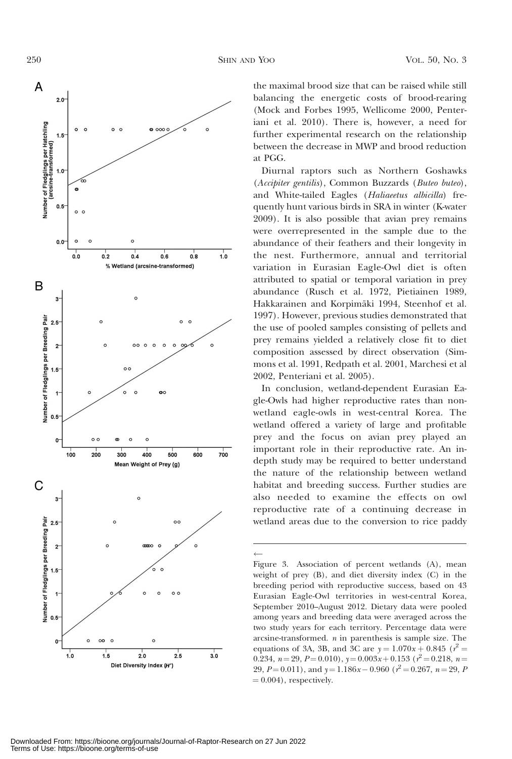$\leftarrow$ 



the maximal brood size that can be raised while still balancing the energetic costs of brood-rearing (Mock and Forbes 1995, Wellicome 2000, Penteriani et al. 2010). There is, however, a need for further experimental research on the relationship between the decrease in MWP and brood reduction at PGG.

Diurnal raptors such as Northern Goshawks (Accipiter gentilis), Common Buzzards (Buteo buteo), and White-tailed Eagles (Haliaeetus albicilla) frequently hunt various birds in SRA in winter (K-water 2009). It is also possible that avian prey remains were overrepresented in the sample due to the abundance of their feathers and their longevity in the nest. Furthermore, annual and territorial variation in Eurasian Eagle-Owl diet is often attributed to spatial or temporal variation in prey abundance (Rusch et al. 1972, Pietiainen 1989, Hakkarainen and Korpimäki 1994, Steenhof et al. 1997). However, previous studies demonstrated that the use of pooled samples consisting of pellets and prey remains yielded a relatively close fit to diet composition assessed by direct observation (Simmons et al. 1991, Redpath et al. 2001, Marchesi et al 2002, Penteriani et al. 2005).

In conclusion, wetland-dependent Eurasian Eagle-Owls had higher reproductive rates than nonwetland eagle-owls in west-central Korea. The wetland offered a variety of large and profitable prey and the focus on avian prey played an important role in their reproductive rate. An indepth study may be required to better understand the nature of the relationship between wetland habitat and breeding success. Further studies are also needed to examine the effects on owl reproductive rate of a continuing decrease in wetland areas due to the conversion to rice paddy

Figure 3. Association of percent wetlands (A), mean weight of prey (B), and diet diversity index (C) in the breeding period with reproductive success, based on 43 Eurasian Eagle-Owl territories in west-central Korea, September 2010–August 2012. Dietary data were pooled among years and breeding data were averaged across the two study years for each territory. Percentage data were arcsine-transformed.  $n$  in parenthesis is sample size. The equations of 3A, 3B, and 3C are  $y = 1.070x + 0.845$  ( $r^2 =$ 0.234,  $n = 29$ ,  $P = 0.010$ ),  $y = 0.003x + 0.153$  ( $r^2 = 0.218$ ,  $n =$ 29,  $P = 0.011$ ), and  $y = 1.186x - 0.960$  ( $r^2 = 0.267$ ,  $n = 29$ , P  $= 0.004$ , respectively.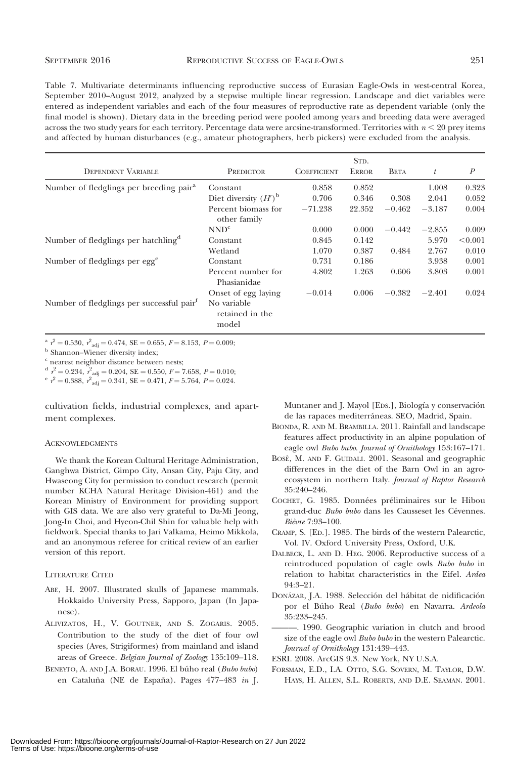## SEPTEMBER 2016 **REPRODUCTIVE SUCCESS OF EAGLE-OWLS** 251

Table 7. Multivariate determinants influencing reproductive success of Eurasian Eagle-Owls in west-central Korea, September 2010–August 2012, analyzed by a stepwise multiple linear regression. Landscape and diet variables were entered as independent variables and each of the four measures of reproductive rate as dependent variable (only the final model is shown). Dietary data in the breeding period were pooled among years and breeding data were averaged across the two study years for each territory. Percentage data were arcsine-transformed. Territories with  $n < 20$  prey items and affected by human disturbances (e.g., amateur photographers, herb pickers) were excluded from the analysis.

|                                                       |                                         |                    | STD.         |             |          |                  |
|-------------------------------------------------------|-----------------------------------------|--------------------|--------------|-------------|----------|------------------|
| <b>DEPENDENT VARIABLE</b>                             | PREDICTOR                               | <b>COEFFICIENT</b> | <b>ERROR</b> | <b>BETA</b> | t        | $\boldsymbol{P}$ |
| Number of fledglings per breeding pair <sup>a</sup>   | Constant                                | 0.858              | 0.852        |             | 1.008    | 0.323            |
|                                                       | Diet diversity $(H')^{\text{b}}$        | 0.706              | 0.346        | 0.308       | 2.041    | 0.052            |
|                                                       | Percent biomass for<br>other family     | $-71.238$          | 22.352       | $-0.462$    | $-3.187$ | 0.004            |
|                                                       | NND <sup>c</sup>                        | 0.000              | 0.000        | $-0.442$    | $-2.855$ | 0.009            |
| Number of fledglings per hatchling <sup>a</sup>       | Constant                                | 0.845              | 0.142        |             | 5.970    | < 0.001          |
|                                                       | Wetland                                 | 1.070              | 0.387        | 0.484       | 2.767    | 0.010            |
| Number of fledglings per egg <sup>e</sup>             | Constant                                | 0.731              | 0.186        |             | 3.938    | 0.001            |
|                                                       | Percent number for<br>Phasianidae       | 4.802              | 1.263        | 0.606       | 3.803    | 0.001            |
|                                                       | Onset of egg laying                     | $-0.014$           | 0.006        | $-0.382$    | $-2.401$ | 0.024            |
| Number of fledglings per successful pair <sup>t</sup> | No variable<br>retained in the<br>model |                    |              |             |          |                  |

<sup>a</sup>  $r^2 = 0.530$ ,  $r^2$ <sub>adj</sub> = 0.474, SE = 0.655,  $F = 8.153$ ,  $P = 0.009$ ;<br><sup>b</sup> Shannon–Wiener diversity index;

<sup>c</sup> nearest neighbor distance between nests;

 $d \rvert^2 = 0.234, \rvert^2$ 

 $\frac{d}{r}$   $\gamma^2 = 0.234$ ,  $r^2$ <sub>adj</sub> = 0.204, SE = 0.550, F = 7.658, P = 0.010;<br>  $\frac{d}{r}$   $\gamma^2 = 0.388$ ,  $r^2$ <sub>adj</sub> = 0.341, SE = 0.471, F = 5.764, P = 0.024.

cultivation fields, industrial complexes, and apartment complexes.

### ACKNOWLEDGMENTS

We thank the Korean Cultural Heritage Administration, Ganghwa District, Gimpo City, Ansan City, Paju City, and Hwaseong City for permission to conduct research (permit number KCHA Natural Heritage Division-461) and the Korean Ministry of Environment for providing support with GIS data. We are also very grateful to Da-Mi Jeong, Jong-In Choi, and Hyeon-Chil Shin for valuable help with fieldwork. Special thanks to Jari Valkama, Heimo Mikkola, and an anonymous referee for critical review of an earlier version of this report.

## LITERATURE CITED

- ABE, H. 2007. Illustrated skulls of Japanese mammals. Hokkaido University Press, Sapporo, Japan (In Japanese).
- ALIVIZATOS, H., V. GOUTNER, AND S. ZOGARIS. 2005. Contribution to the study of the diet of four owl species (Aves, Strigiformes) from mainland and island areas of Greece. Belgian Journal of Zoology 135:109–118.
- BENEYTO, A. AND J.A. BORAU. 1996. El búho real (Bubo bubo) en Cataluña (NE de España). Pages 477-483 in J.

Muntaner and J. Mayol [EDS.], Biología y conservación de las rapaces mediterráneas. SEO, Madrid, Spain.

- BIONDA, R. AND M. BRAMBILLA. 2011. Rainfall and landscape features affect productivity in an alpine population of eagle owl Bubo bubo. Journal of Ornithology 153:167–171.
- BOSÈ, M. AND F. GUIDALI. 2001. Seasonal and geographic differences in the diet of the Barn Owl in an agroecosystem in northern Italy. Journal of Raptor Research 35:240–246.
- COCHET, G. 1985. Données préliminaires sur le Hibou grand-duc Bubo bubo dans les Causseset les Cévennes. Bièvre 7:93-100.
- CRAMP, S. [ED.]. 1985. The birds of the western Palearctic, Vol. IV. Oxford University Press, Oxford, U.K.
- DALBECK, L. AND D. HEG. 2006. Reproductive success of a reintroduced population of eagle owls Bubo bubo in relation to habitat characteristics in the Eifel. Ardea 94:3–21.
- DONÁZAR, J.A. 1988. Selección del hábitat de nidificación por el Búho Real (Bubo bubo) en Navarra. Ardeola 35:233–245.
- ———. 1990. Geographic variation in clutch and brood size of the eagle owl Bubo bubo in the western Palearctic. Journal of Ornithology 131:439–443.

ESRI. 2008. ArcGIS 9.3. New York, NY U.S.A.

FORSMAN, E.D., I.A. OTTO, S.G. SOVERN, M. TAYLOR, D.W. HAYS, H. ALLEN, S.L. ROBERTS, AND D.E. SEAMAN. 2001.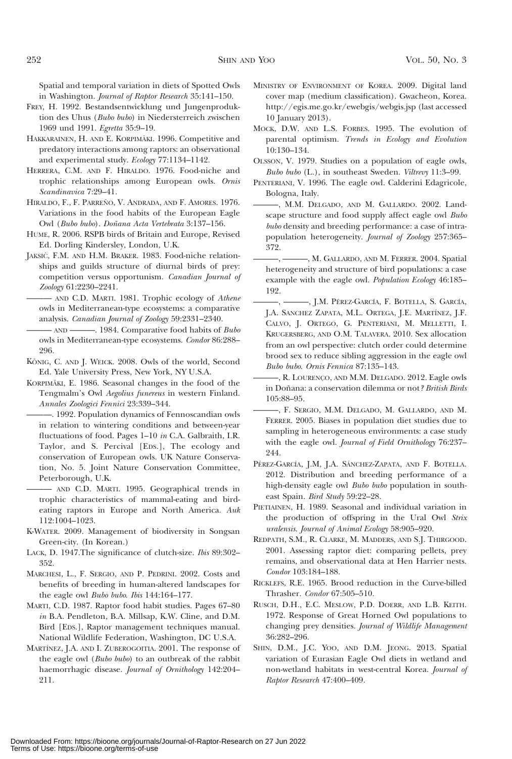Spatial and temporal variation in diets of Spotted Owls in Washington. Journal of Raptor Research 35:141-150.

- FREY, H. 1992. Bestandsentwicklung und Jungenproduktion des Uhus (Bubo bubo) in Niedersterreich zwischen 1969 und 1991. Egretta 35:9–19.
- HAKKARAINEN, H. AND E. KORPIMÄKI. 1996. Competitive and predatory interactions among raptors: an observational and experimental study. Ecology 77:1134–1142.
- HERRERA, C.M. AND F. HIRALDO. 1976. Food-niche and trophic relationships among European owls. Ornis Scandinavica 7:29–41.
- HIRALDO, F., F. PARREÑO, V. ANDRADA, AND F. AMORES. 1976. Variations in the food habits of the European Eagle Owl (Bubo bubo). Doñana Acta Vertebrata 3:137-156.
- HUME, R. 2006. RSPB birds of Britain and Europe, Revised Ed. Dorling Kindersley, London, U.K.
- JAKSIĆ, F.M. AND H.M. BRAKER. 1983. Food-niche relationships and guilds structure of diurnal birds of prey: competition versus opportunism. Canadian Journal of Zoology 61:2230–2241.

- AND C.D. MARTI. 1981. Trophic ecology of Athene owls in Mediterranean-type ecosystems: a comparative analysis. Canadian Journal of Zoology 59:2331–2340.

— AND ———. 1984. Comparative food habits of Bubo owls in Mediterranean-type ecosystems. Condor 86:288– 296.

- KÖNIG, C. AND J. WEICK. 2008. Owls of the world, Second Ed. Yale University Press, New York, NY U.S.A.
- KORPIMÄKI, E. 1986. Seasonal changes in the food of the Tengmalm's Owl Aegolius funereus in western Finland. Annales Zoologici Fennici 23:339–344.
	- ———. 1992. Population dynamics of Fennoscandian owls in relation to wintering conditions and between-year fluctuations of food. Pages 1–10 in C.A. Galbraith, I.R. Taylor, and S. Percival [EDS.], The ecology and conservation of European owls. UK Nature Conservation, No. 5. Joint Nature Conservation Committee, Peterborough, U.K.

——— AND C.D. MARTI. 1995. Geographical trends in trophic characteristics of mammal-eating and birdeating raptors in Europe and North America. Auk 112:1004–1023.

- K-WATER. 2009. Management of biodiversity in Songsan Green-city. (In Korean.)
- LACK, D. 1947.The significance of clutch-size. Ibis 89:302– 352.
- MARCHESI, L., F. SERGIO, AND P. PEDRINI. 2002. Costs and benefits of breeding in human-altered landscapes for the eagle owl Bubo bubo. Ibis 144:164-177.
- MARTI, C.D. 1987. Raptor food habit studies. Pages 67–80 in B.A. Pendleton, B.A. Millsap, K.W. Cline, and D.M. Bird [EDS.], Raptor management techniques manual. National Wildlife Federation, Washington, DC U.S.A.
- MARTÍNEZ, J.A. AND I. ZUBEROGOITIA. 2001. The response of the eagle owl (Bubo bubo) to an outbreak of the rabbit haemorrhagic disease. Journal of Ornithology 142:204– 211.
- MINISTRY OF ENVIRONMENT OF KOREA. 2009. Digital land cover map (medium classification). Gwacheon, Korea. http://egis.me.go.kr/ewebgis/webgis.jsp (last accessed 10 January 2013).
- MOCK, D.W. AND L.S. FORBES. 1995. The evolution of parental optimism. Trends in Ecology and Evolution 10:130–134.
- OLSSON, V. 1979. Studies on a population of eagle owls, Bubo bubo (L.), in southeast Sweden. Viltrevy 11:3–99.
- PENTERIANI, V. 1996. The eagle owl. Calderini Edagricole, Bologna, Italy.
	- ———, M.M. DELGADO, AND M. GALLARDO. 2002. Landscape structure and food supply affect eagle owl Bubo bubo density and breeding performance: a case of intrapopulation heterogeneity. Journal of Zoology 257:365– 372.
	- $-$ , M. GALLARDO, AND M. FERRER. 2004. Spatial heterogeneity and structure of bird populations: a case example with the eagle owl. Population Ecology 46:185– 192.
	- -, , J.M. PÉREZ-GARCÍA, F. BOTELLA, S. GARCÍA, J.A. SANCHEZ ZAPATA, M.L. ORTEGA, J.E. MARTÍNEZ, J.F. CALVO, J. ORTEGO, G. PENTERIANI, M. MELLETTI, I. KRUGERSBERG, AND O.M. TALAVERA. 2010. Sex allocation from an owl perspective: clutch order could determine brood sex to reduce sibling aggression in the eagle owl Bubo bubo. Ornis Fennica 87:135–143.
	- -, R. LOURENÇO, AND M.M. DELGADO. 2012. Eagle owls in Doñana: a conservation dilemma or not? British Birds 105:88–95.
	- ———, F. SERGIO, M.M. DELGADO, M. GALLARDO, AND M. FERRER. 2005. Biases in population diet studies due to sampling in heterogeneous environments: a case study with the eagle owl. *Journal of Field Ornithology* 76:237– 244.
- PÉREZ-GARCÍA, J.M, J.A. SÁNCHEZ-ZAPATA, AND F. BOTELLA. 2012. Distribution and breeding performance of a high-density eagle owl Bubo bubo population in southeast Spain. Bird Study 59:22–28.
- PIETIAINEN, H. 1989. Seasonal and individual variation in the production of offspring in the Ural Owl Strix uralensis. Journal of Animal Ecology 58:905–920.
- REDPATH, S.M., R. CLARKE, M. MADDERS, AND S.J. THIRGOOD. 2001. Assessing raptor diet: comparing pellets, prey remains, and observational data at Hen Harrier nests. Condor 103:184–188.
- RICKLEFS, R.E. 1965. Brood reduction in the Curve-billed Thrasher. Condor 67:505–510.
- RUSCH, D.H., E.C. MESLOW, P.D. DOERR, AND L.B. KEITH. 1972. Response of Great Horned Owl populations to changing prey densities. Journal of Wildlife Management 36:282–296.
- SHIN, D.M., J.C. YOO, AND D.M. JEONG. 2013. Spatial variation of Eurasian Eagle Owl diets in wetland and non-wetland habitats in west-central Korea. Journal of Raptor Research 47:400–409.